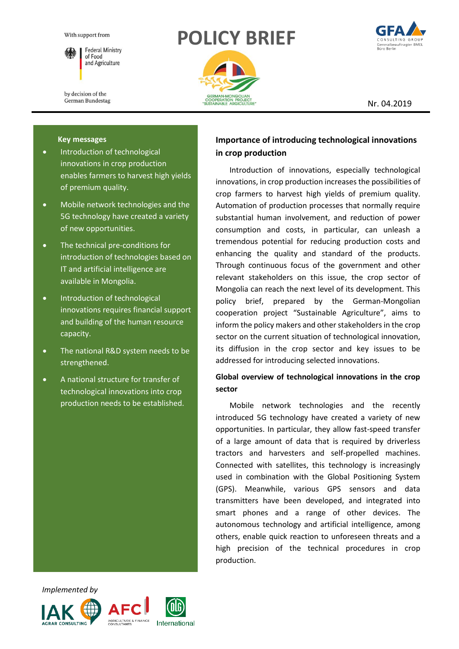

**Federal Ministry** of Food and Agriculture

by decision of the German Bundestag

# **POLICY BRIEF**





Nr. 04.2019

#### **Key messages**

- Introduction of technological innovations in crop production enables farmers to harvest high yields of premium quality.
- Mobile network technologies and the 5G technology have created a variety of new opportunities.
- The technical pre-conditions for introduction of technologies based on IT and artificial intelligence are available in Mongolia.
- Introduction of technological innovations requires financial support and building of the human resource capacity.
- The national R&D system needs to be strengthened.
- A national structure for transfer of technological innovations into crop production needs to be established.

# **Importance of introducing technological innovations in crop production**

Introduction of innovations, especially technological innovations, in crop production increases the possibilities of crop farmers to harvest high yields of premium quality. Automation of production processes that normally require substantial human involvement, and reduction of power consumption and costs, in particular, can unleash a tremendous potential for reducing production costs and enhancing the quality and standard of the products. Through continuous focus of the government and other relevant stakeholders on this issue, the crop sector of Mongolia can reach the next level of its development. This policy brief, prepared by the German-Mongolian cooperation project "Sustainable Agriculture", aims to inform the policy makers and other stakeholders in the crop sector on the current situation of technological innovation, its diffusion in the crop sector and key issues to be addressed for introducing selected innovations.

# **Global overview of technological innovations in the crop sector**

Mobile network technologies and the recently introduced 5G technology have created a variety of new opportunities. In particular, they allow fast-speed transfer of a large amount of data that is required by driverless tractors and harvesters and self-propelled machines. Connected with satellites, this technology is increasingly used in combination with the Global Positioning System (GPS). Meanwhile, various GPS sensors and data transmitters have been developed, and integrated into smart phones and a range of other devices. The autonomous technology and artificial intelligence, among others, enable quick reaction to unforeseen threats and a high precision of the technical procedures in crop production.

 *Implemented by*





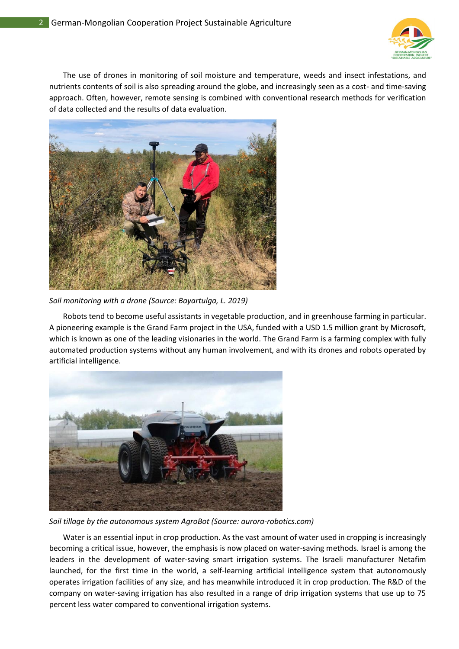

The use of drones in monitoring of soil moisture and temperature, weeds and insect infestations, and nutrients contents of soil is also spreading around the globe, and increasingly seen as a cost- and time-saving approach. Often, however, remote sensing is combined with conventional research methods for verification of data collected and the results of data evaluation.



*Soil monitoring with a drone (Source: Bayartulga, L. 2019)*

Robots tend to become useful assistants in vegetable production, and in greenhouse farming in particular. A pioneering example is the Grand Farm project in the USA, funded with a USD 1.5 million grant by Microsoft, which is known as one of the leading visionaries in the world. The Grand Farm is a farming complex with fully automated production systems without any human involvement, and with its drones and robots operated by artificial intelligence.



*Soil tillage by the autonomous system AgroBot (Source: aurora-robotics.com)*

Water is an essential input in crop production. As the vast amount of water used in cropping is increasingly becoming a critical issue, however, the emphasis is now placed on water-saving methods. Israel is among the leaders in the development of water-saving smart irrigation systems. The Israeli manufacturer Netafim launched, for the first time in the world, a self-learning artificial intelligence system that autonomously operates irrigation facilities of any size, and has meanwhile introduced it in crop production. The R&D of the company on water-saving irrigation has also resulted in a range of drip irrigation systems that use up to 75 percent less water compared to conventional irrigation systems.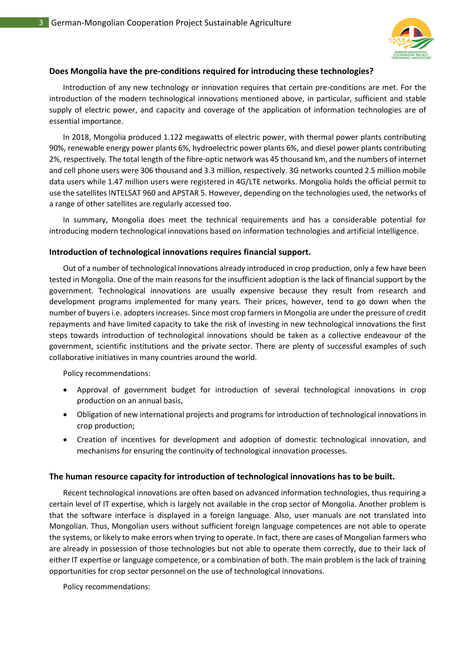

### **Does Mongolia have the pre-conditions required for introducing these technologies?**

Introduction of any new technology or innovation requires that certain pre-conditions are met. For the introduction of the modern technological innovations mentioned above, in particular, sufficient and stable supply of electric power, and capacity and coverage of the application of information technologies are of essential importance.

In 2018, Mongolia produced 1.122 megawatts of electric power, with thermal power plants contributing 90%, renewable energy power plants 6%, hydroelectric power plants 6%, and diesel power plants contributing 2%, respectively. The total length of the fibre-optic network was 45 thousand km, and the numbers of internet and cell phone users were 306 thousand and 3.3 million, respectively. 3G networks counted 2.5 million mobile data users while 1.47 million users were registered in 4G/LTE networks. Mongolia holds the official permit to use the satellites INTELSAT 960 and APSTAR 5. However, depending on the technologies used, the networks of a range of other satellites are regularly accessed too.

In summary, Mongolia does meet the technical requirements and has a considerable potential for introducing modern technological innovations based on information technologies and artificial intelligence.

## **Introduction of technological innovations requires financial support.**

Out of a number of technological innovations already introduced in crop production, only a few have been tested in Mongolia. One of the main reasons for the insufficient adoption is the lack of financial support by the government. Technological innovations are usually expensive because they result from research and development programs implemented for many years. Their prices, however, tend to go down when the number of buyers i.e. adopters increases. Since most crop farmers in Mongolia are under the pressure of credit repayments and have limited capacity to take the risk of investing in new technological innovations the first steps towards introduction of technological innovations should be taken as a collective endeavour of the government, scientific institutions and the private sector. There are plenty of successful examples of such collaborative initiatives in many countries around the world.

Policy recommendations:

- Approval of government budget for introduction of several technological innovations in crop production on an annual basis,
- Obligation of new international projects and programs for introduction of technological innovations in crop production;
- Creation of incentives for development and adoption of domestic technological innovation, and mechanisms for ensuring the continuity of technological innovation processes.

## **The human resource capacity for introduction of technological innovations has to be built.**

Recent technological innovations are often based on advanced information technologies, thus requiring a certain level of IT expertise, which is largely not available in the crop sector of Mongolia. Another problem is that the software interface is displayed in a foreign language. Also, user manuals are not translated into Mongolian. Thus, Mongolian users without sufficient foreign language competences are not able to operate the systems, or likely to make errors when trying to operate. In fact, there are cases of Mongolian farmers who are already in possession of those technologies but not able to operate them correctly, due to their lack of either IT expertise or language competence, or a combination of both. The main problem is the lack of training opportunities for crop sector personnel on the use of technological innovations.

Policy recommendations: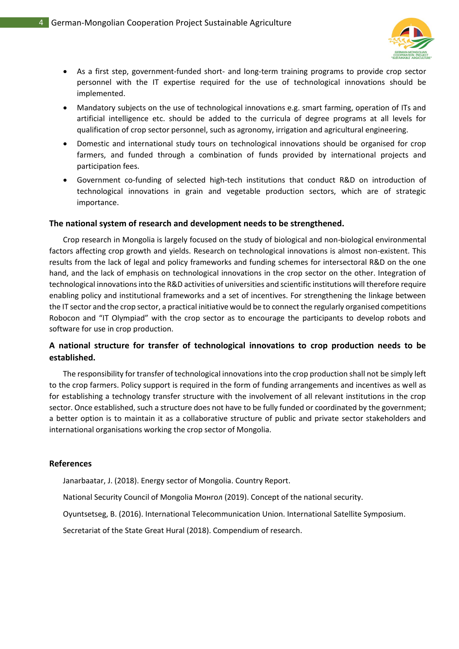

- As a first step, government-funded short- and long-term training programs to provide crop sector personnel with the IT expertise required for the use of technological innovations should be implemented.
- Mandatory subjects on the use of technological innovations e.g. smart farming, operation of ITs and artificial intelligence etc. should be added to the curricula of degree programs at all levels for qualification of crop sector personnel, such as agronomy, irrigation and agricultural engineering.
- Domestic and international study tours on technological innovations should be organised for crop farmers, and funded through a combination of funds provided by international projects and participation fees.
- Government co-funding of selected high-tech institutions that conduct R&D on introduction of technological innovations in grain and vegetable production sectors, which are of strategic importance.

#### **The national system of research and development needs to be strengthened.**

Crop research in Mongolia is largely focused on the study of biological and non-biological environmental factors affecting crop growth and yields. Research on technological innovations is almost non-existent. This results from the lack of legal and policy frameworks and funding schemes for intersectoral R&D on the one hand, and the lack of emphasis on technological innovations in the crop sector on the other. Integration of technological innovations into the R&D activities of universities and scientific institutions will therefore require enabling policy and institutional frameworks and a set of incentives. For strengthening the linkage between the IT sector and the crop sector, a practical initiative would be to connect the regularly organised competitions Robocon and "IT Olympiad" with the crop sector as to encourage the participants to develop robots and software for use in crop production.

# **A national structure for transfer of technological innovations to crop production needs to be established.**

The responsibility for transfer of technological innovations into the crop production shall not be simply left to the crop farmers. Policy support is required in the form of funding arrangements and incentives as well as for establishing a technology transfer structure with the involvement of all relevant institutions in the crop sector. Once established, such a structure does not have to be fully funded or coordinated by the government; a better option is to maintain it as a collaborative structure of public and private sector stakeholders and international organisations working the crop sector of Mongolia.

#### **References**

Janarbaatar, J. (2018). Energy sector of Mongolia. Country Report.

National Security Council of Mongolia Монгол (2019). Concept of the national security.

Oyuntsetseg, B. (2016). International Telecommunication Union. International Satellite Symposium.

Secretariat of the State Great Hural (2018). Compendium of research.